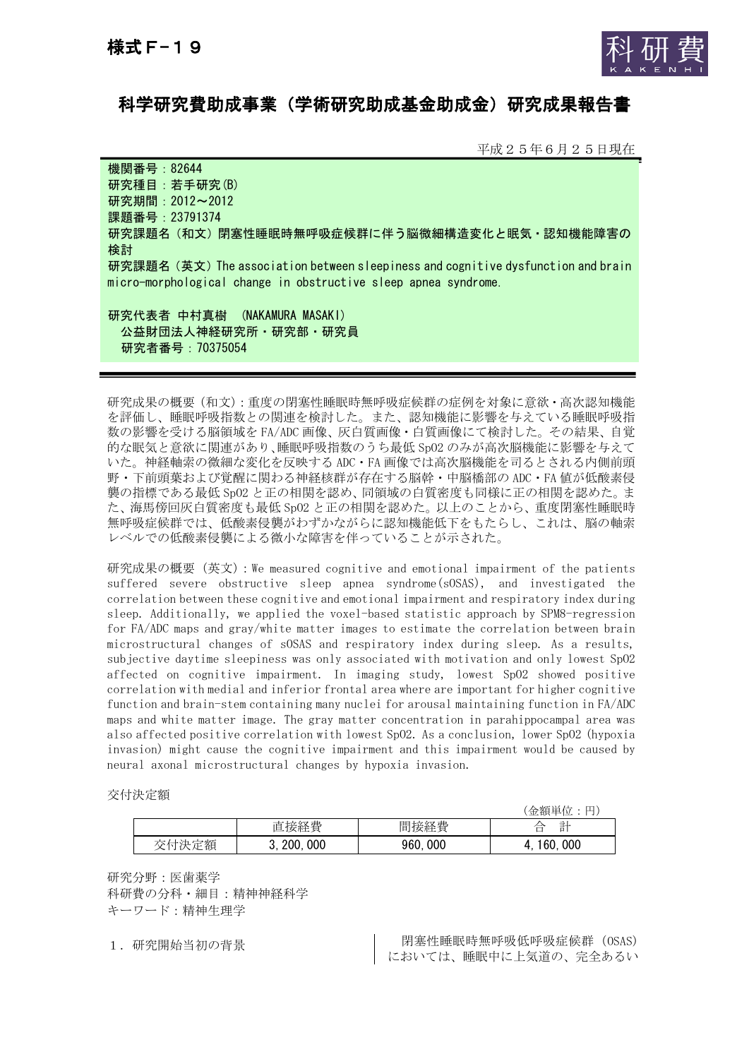

# 科学研究費助成事業(学術研究助成基金助成金)研究成果報告書

平成25年6月25日現在

機関番号:82644 研究種目:若手研究(B) 研究期間:2012~2012 課題番号:23791374 研究課題名(和文)閉塞性睡眠時無呼吸症候群に伴う脳微細構造変化と眠気・認知機能障害の 検討 研究課題名(英文)The association between sleepiness and cognitive dysfunction and brain micro-morphological change in obstructive sleep apnea syndrome. 研究代表者 中村真樹 (NAKAMURA MASAKI)

 公益財団法人神経研究所・研究部・研究員 研究者番号:70375054

研究成果の概要(和文):重度の閉塞性睡眠時無呼吸症候群の症例を対象に意欲・高次認知機能 を評価し、睡眠呼吸指数との関連を検討した。また、認知機能に影響を与えている睡眠呼吸指 数の影響を受ける脳領域を FA/ADC 画像、灰白質画像・白質画像にて検討した。その結果、自覚 的な眠気と意欲に関連があり、睡眠呼吸指数のうち最低 SpO2 のみが高次脳機能に影響を与えて いた。神経軸索の微細な変化を反映する ADC・FA 画像では高次脳機能を司るとされる内側前頭 野・下前頭葉および覚醒に関わる神経核群が存在する脳幹・中脳橋部の ADC・FA 値が低酸素侵 襲の指標である最低 SpO2 と正の相関を認め、同領域の白質密度も同様に正の相関を認めた。ま た、海馬傍回灰白質密度も最低 SpO2 と正の相関を認めた。以上のことから、重度閉塞性睡眠時 無呼吸症候群では、低酸素侵襲がわずかながらに認知機能低下をもたらし、これは、脳の軸索 レベルでの低酸素侵襲による微小な障害を伴っていることが示された。

研究成果の概要(英文):We measured cognitive and emotional impairment of the patients suffered severe obstructive sleep apnea syndrome(sOSAS), and investigated the correlation between these cognitive and emotional impairment and respiratory index during sleep. Additionally, we applied the voxel-based statistic approach by SPM8-regression for FA/ADC maps and gray/white matter images to estimate the correlation between brain microstructural changes of sOSAS and respiratory index during sleep. As a results, subjective daytime sleepiness was only associated with motivation and only lowest SpO2 affected on cognitive impairment. In imaging study, lowest SpO2 showed positive correlation with medial and inferior frontal area where are important for higher cognitive function and brain-stem containing many nuclei for arousal maintaining function in FA/ADC maps and white matter image. The gray matter concentration in parahippocampal area was also affected positive correlation with lowest SpO2. As a conclusion, lower SpO2 (hypoxia invasion) might cause the cognitive impairment and this impairment would be caused by neural axonal microstructural changes by hypoxia invasion.

交付決定額

|    |                   |             | 金額単位<br>ᄔ                                                  |
|----|-------------------|-------------|------------------------------------------------------------|
|    | 接経費<br>旧          | 間接経費        | - 글니<br>∠<br>ш<br>$\mathbf{H}$<br>$\overline{\phantom{0}}$ |
| 定額 | 000<br>200.<br>ν. | 960.<br>000 | 000<br>160.                                                |

研究分野:医歯薬学 科研費の分科・細目:精神神経科学 キーワード:精神生理学

1. 研究開始当初の背景 アンチュース - 閉塞性睡眠時無呼吸低呼吸症候群 (OSAS) においては、睡眠中に上気道の、完全あるい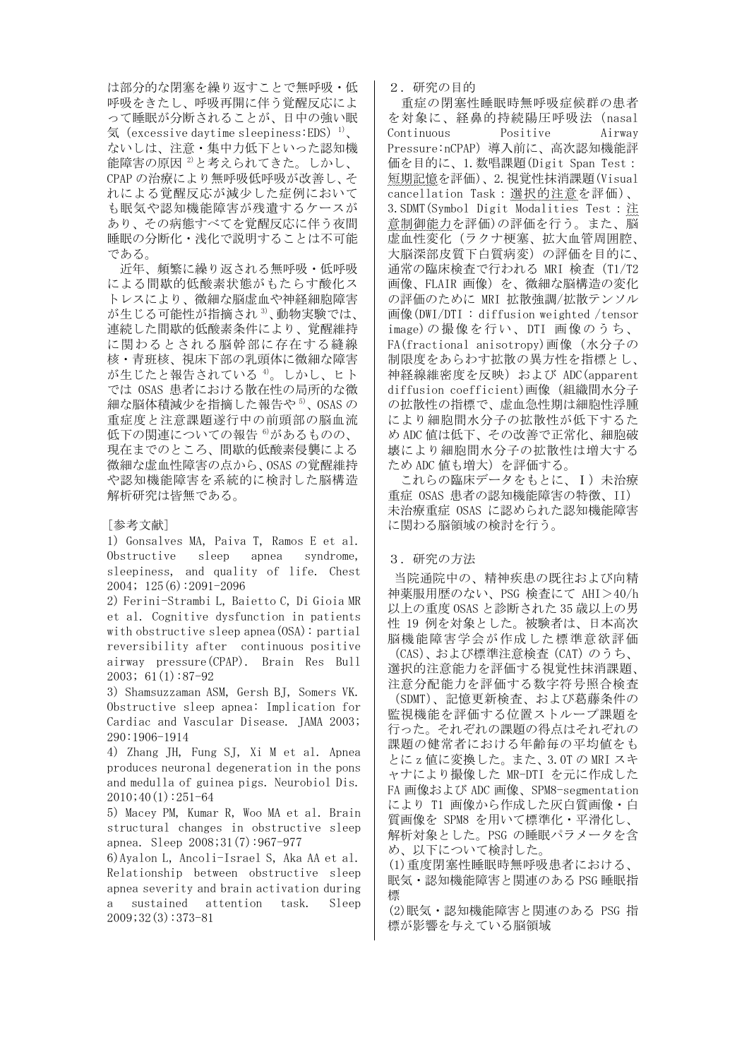は部分的な閉塞を繰り返すことで無呼吸・低 呼吸をきたし、呼吸再開に伴う覚醒反応によ って睡眠が分断されることが、日中の強い眠 気 (excessive daytime sleepiness:EDS)<sup>1)</sup>、 ないしは、注意・集中力低下といった認知機 能障害の原因<sup>2)</sup>と考えられてきた。しかし、 CPAP の治療により無呼吸低呼吸が改善し、そ れによる覚醒反応が減少した症例において も眠気や認知機能障害が残遺するケースが あり、その病態すべてを覚醒反応に伴う夜間 睡眠の分断化・浅化で説明することは不可能 である。

近年、頻繁に繰り返される無呼吸・低呼吸 による間歇的低酸素状態がもたらす酸化ス トレスにより、微細な脳虚血や神経細胞障害 が生じる可能性が指摘され $3$ 、動物実験では、 連続した間歇的低酸素条件により、覚醒維持 に関わるとされる脳幹部に存在する縫線 核・青班核、視床下部の乳頭体に微細な障害 が生じたと報告されている 4)。しかし、ヒト では OSAS 患者における散在性の局所的な微 細な脳体積減少を指摘した報告や5)、OSASの 重症度と注意課題遂行中の前頭部の脳血流 低下の関連についての報告 6)があるものの、 現在までのところ、間歇的低酸素侵襲による 微細な虚血性障害の点から、OSAS の覚醒維持 や認知機能障害を系統的に検討した脳構造 解析研究は皆無である。

#### [参考文献]

1) Gonsalves MA, Paiva T, Ramos E et al. Obstructive sleep apnea syndrome, sleepiness, and quality of life. Chest 2004; 125(6):2091-2096

2) Ferini-Strambi L, Baietto C, Di Gioia MR et al. Cognitive dysfunction in patients with obstructive sleep apnea(OSA): partial reversibility after continuous positive airway pressure(CPAP). Brain Res Bull 2003; 61(1):87-92

3) Shamsuzzaman ASM, Gersh BJ, Somers VK. Obstructive sleep apnea: Implication for Cardiac and Vascular Disease. JAMA 2003; 290:1906-1914

4) Zhang JH, Fung SJ, Xi M et al. Apnea produces neuronal degeneration in the pons and medulla of guinea pigs. Neurobiol Dis. 2010;40(1):251-64

5) Macey PM, Kumar R, Woo MA et al. Brain structural changes in obstructive sleep apnea. Sleep 2008;31(7):967-977

6)Ayalon L, Ancoli-Israel S, Aka AA et al. Relationship between obstructive sleep apnea severity and brain activation during a sustained attention task. Sleep 2009;32(3):373-81

2.研究の目的

重症の閉塞性睡眠時無呼吸症候群の患者 を対象に、経鼻的持続陽圧呼吸法(nasal Continuous Positive Airway Pressure:nCPAP)導入前に、高次認知機能評 価を目的に、1.数唱課題(Digit Span Test: 短期記憶を評価)、2.視覚性抹消課題(Visual cancellation Task:選択的注意を評価)、 3.SDMT(Symbol Digit Modalities Test:注 意制御能力を評価)の評価を行う。また、脳 虚血性変化(ラクナ梗塞、拡大血管周囲腔、 大脳深部皮質下白質病変)の評価を目的に、 通常の臨床検査で行われる MRI 検査(T1/T2 画像、FLAIR 画像)を、微細な脳構造の変化 の評価のために MRI 拡散強調/拡散テンソル 画像(DWI/DTI : diffusion weighted /tensor image)の撮像を行い、DTI 画像のうち、 FA(fractional anisotropy)画像(水分子の 制限度をあらわす拡散の異方性を指標とし、 神経線維密度を反映)および ADC(apparent diffusion coefficient)画像(組織間水分子 の拡散性の指標で、虚血急性期は細胞性浮腫 により細胞間水分子の拡散性が低下するた め ADC 値は低下、その改善で正常化、細胞破 壊により細胞間水分子の拡散性は増大する ため ADC 値も増大)を評価する。

これらの臨床データをもとに、I)未治療 重症 OSAS 患者の認知機能障害の特徴、II) 未治療重症 OSAS に認められた認知機能障害 に関わる脳領域の検討を行う。

### 3.研究の方法

当院通院中の、精神疾患の既往および向精 神薬服用歴のない、PSG 検査にて AHI>40/h 以上の重度 OSAS と診断された 35 歳以上の男 性 19 例を対象とした。被験者は、日本高次 脳機能障害学会が作成した標準意欲評価

(CAS)、および標準注意検査(CAT)のうち、 選択的注意能力を評価する視覚性抹消課題、 注意分配能力を評価する数字符号照合検査

(SDMT)、記憶更新検査、および葛藤条件の 監視機能を評価する位置ストループ課題を 行った。それぞれの課題の得点はそれぞれの 課題の健常者における年齢毎の平均値をも とに z 値に変換した。また、3.0T の MRI スキ ャナにより撮像した MR-DTI を元に作成した FA 画像および ADC 画像、SPM8-segmentation により T1 画像から作成した灰白質画像・白 質画像を SPM8 を用いて標準化・平滑化し、 解析対象とした。PSG の睡眠パラメータを含 め、以下について検討した。

(1)重度閉塞性睡眠時無呼吸患者における、 眠気・認知機能障害と関連のある PSG 睡眠指 標

(2)眠気・認知機能障害と関連のある PSG 指 標が影響を与えている脳領域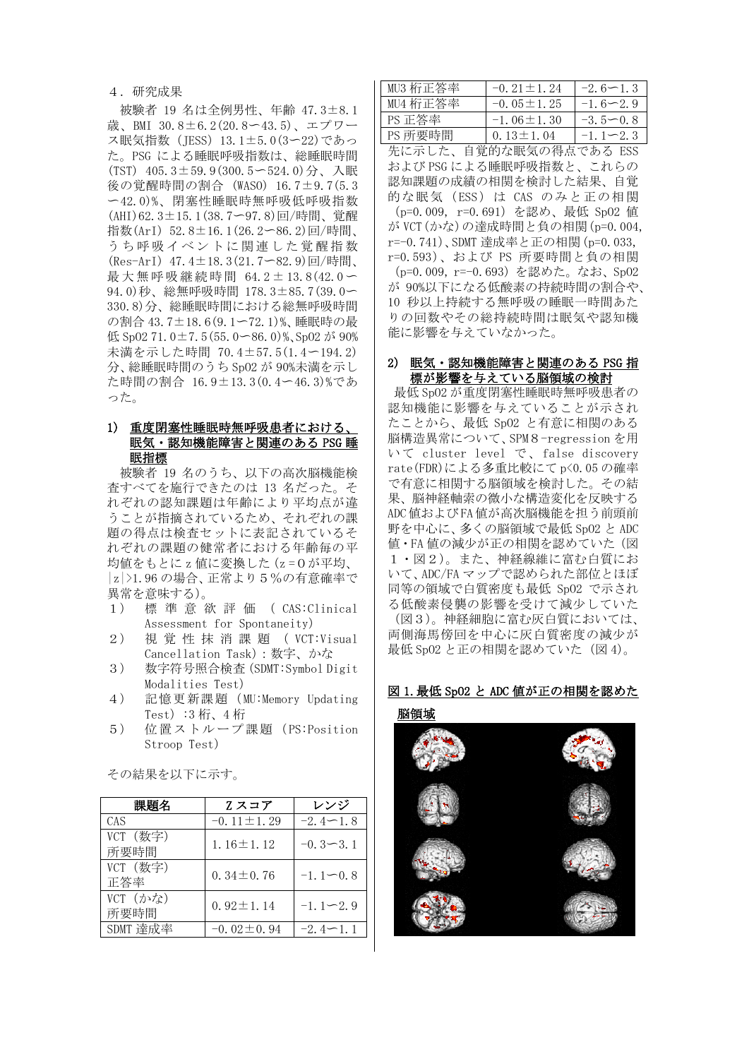4.研究成果

被験者 19 名は全例男性、年齢 47.3±8.1 歳、BMI 30.8±6.2(20.8〜43.5)、エプワー ス眠気指数(JESS)13.1±5.0(3〜22)であっ た。PSG による睡眠呼吸指数は、総睡眠時間 (TST) 405.3±59.9(300.5〜524.0)分、入眠 後の覚醒時間の割合 (WASO) 16.7±9.7(5.3 〜42.0)%、閉塞性睡眠時無呼吸低呼吸指数 (AHI)62.3±15.1(38.7〜97.8)回/時間、覚醒 指数(ArI) 52.8±16.1(26.2〜86.2)回/時間、 うち呼吸イベントに関連した覚醒指数 (Res-ArI) 47.4±18.3(21.7〜82.9)回/時間、 最大無呼吸継続時間 64.2± 13.8(42.0 〜 94.0)秒、総無呼吸時間 178.3±85.7(39.0〜 330.8)分、総睡眠時間における総無呼吸時間 の割合 43.7±18.6(9.1〜72.1)%、睡眠時の最 低 SpO2 71.0±7.5(55.0〜86.0)%、SpO2 が 90% 未満を示した時間 70.4±57.5(1.4〜194.2) 分、総睡眠時間のうち SpO2 が 90%未満を示し た時間の割合 16.9±13.3(0.4〜46.3)%であ った。

### 1) 重度閉塞性睡眠時無呼吸患者における 眠気・認知機能障害と関連のある PSG 睡 眠指標

 被験者 19 名のうち、以下の高次脳機能検 査すべてを施行できたのは 13 名だった。そ れぞれの認知課題は年齢により平均点が違 うことが指摘されているため、それぞれの課 題の得点は検査セットに表記されているそ れぞれの課題の健常者における年齢毎の平 均値をもとに z 値に変換した(z =0が平均、 |z|>1.96 の場合、正常より5%の有意確率で 異常を意味する)。

- 1) 標準意欲評価( CAS:Clinical Assessment for Spontaneity)
- 2) 視覚性抹消課題( VCT:Visual Cancellation Task):数字、かな
- 3) 数字符号照合検査(SDMT:Symbol Digit Modalities Test)
- 4) 記憶更新課題(MU:Memory Updating Test):3 桁、4 桁
- 5) 位置ストループ課題(PS:Position Stroop Test)

| 課題名              | Zスコア             | レンジ          |
|------------------|------------------|--------------|
| CAS              | $-0.11 \pm 1.29$ | $-2.4 - 1.8$ |
| VCT (数字)<br>所要時間 | $1.16 \pm 1.12$  | $-0.3 - 3.1$ |
| VCT (数字)<br>正答率  | $0.34 \pm 0.76$  | $-1.1 - 0.8$ |
| VCT (かな)<br>所要時間 | $0.92 \pm 1.14$  | $-1.1 - 2.9$ |
| SDMT 達成率         | $-0.02 \pm 0.94$ | $-2.4 - 1.1$ |

その結果を以下に示す。

| MU3 桁正答率 | $-0.21 \pm 1.24$ | $-2.6 - 1.3$ |
|----------|------------------|--------------|
| MU4 桁正答率 | $-0.05 \pm 1.25$ | $-1.6 - 2.9$ |
| PS 正答率   | $-1.06 \pm 1.30$ | $-3.5 - 0.8$ |
| PS 所要時間  | $0.13 \pm 1.04$  | $-1.1 - 2.3$ |

先に示した、自覚的な眠気の得点である ESS および PSG による睡眠呼吸指数と、これらの 認知課題の成績の相関を検討した結果、自覚 的な眠気 (ESS) は CAS のみと正の相関 (p=0.009, r=0.691)を認め、最低 SpO2 値 が VCT(かな)の達成時間と負の相関(p=0.004, r=-0.741)、SDMT 達成率と正の相関(p=0.033, r=0.593)、および PS 所要時間と負の相関 (p=0.009, r=-0.693)を認めた。なお、SpO2 が 90%以下になる低酸素の持続時間の割合や、 10 秒以上持続する無呼吸の睡眠一時間あた りの回数やその総持続時間は眠気や認知機 能に影響を与えていなかった。

### 2) 眠気・認知機能障害と関連のある PSG 指 標が影響を与えている脳領域の検討

最低 SpO2 が重度閉塞性睡眠時無呼吸患者の 認知機能に影響を与えていることが示され たことから、最低 SpO2 と有意に相関のある 脳構造異常について、SPM8-regression を用 いて cluster level で、false discovery rate(FDR)による多重比較にて p<0.05 の確率 で有意に相関する脳領域を検討した。その結 果、脳神経軸索の微小な構造変化を反映する ADC値およびFA値が高次脳機能を担う前頭前 野を中心に、多くの脳領域で最低 SpO2 と ADC 値・FA 値の減少が正の相関を認めていた(図 1・図2)。また、神経線維に富む白質にお いて、ADC/FA マップで認められた部位とほぼ 同等の領域で白質密度も最低 SpO2 で示され る低酸素侵襲の影響を受けて減少していた (図3)。神経細胞に富む灰白質においては、 両側海馬傍回を中心に灰白質密度の減少が 最低 Sp02 と正の相関を認めていた (図 4)。

## 図 1.最低 SpO2 と ADC 値が正の相関を認めた 脳領域

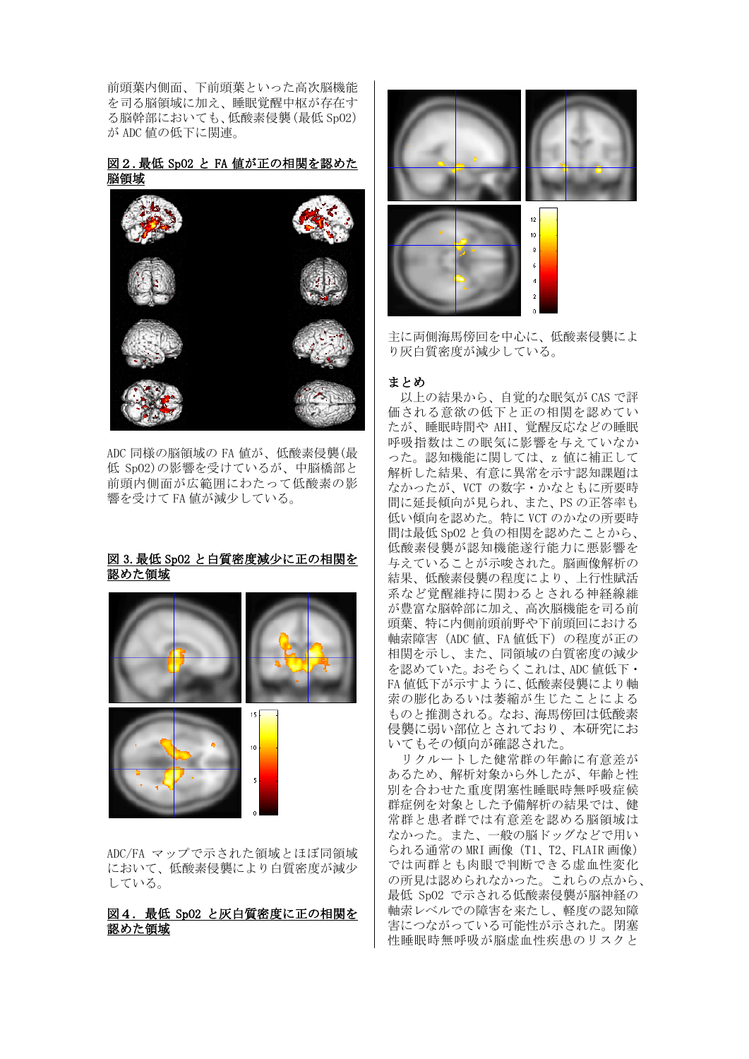前頭葉内側面、下前頭葉といった高次脳機能 を司る脳領域に加え、睡眠覚醒中枢が存在す る脳幹部においても、低酸素侵襲(最低 SpO2) が ADC 値の低下に関連。

### 図2.最低 SpO2 と FA 値が正の相関を認めた 脳領域



ADC 同様の脳領域の FA 値が、低酸素侵襲(最 低 SpO2)の影響を受けているが、中脳橋部と 前頭内側面が広範囲にわたって低酸素の影 響を受けて FA 値が減少している。

### 図 3.最低 SpO2 と白質密度減少に正の相関を 認めた領域



ADC/FA マップで示された領域とほぼ同領域 において、低酸素侵襲により白質密度が減少 している。

### 図4. 最低 SpO2 と灰白質密度に正の相関を 認めた領域



主に両側海馬傍回を中心に、低酸素侵襲によ り灰白質密度が減少している。

### まとめ

以上の結果から、自覚的な眠気が CAS で評 価される意欲の低下と正の相関を認めてい たが、睡眠時間や AHI、覚醒反応などの睡眠 呼吸指数はこの眠気に影響を与えていなか った。認知機能に関しては、z 値に補正して 解析した結果、有意に異常を示す認知課題は なかったが、VCT の数字・かなともに所要時 間に延長傾向が見られ、また、PS の正答率も 低い傾向を認めた。特に VCT のかなの所要時 間は最低 SpO2 と負の相関を認めたことから、 低酸素侵襲が認知機能遂行能力に悪影響を 与えていることが示唆された。脳画像解析の 結果、低酸素侵襲の程度により、上行性賦活 系など覚醒維持に関わるとされる神経線維 が豊富な脳幹部に加え、高次脳機能を司る前 頭葉、特に内側前頭前野や下前頭回における 軸索障害(ADC 値、FA 値低下)の程度が正の 相関を示し、また、同領域の白質密度の減少 を認めていた。おそらくこれは、ADC 値低下・ FA 値低下が示すように、低酸素侵襲により軸 索の膨化あるいは萎縮が生じたことによる ものと推測される。なお、海馬傍回は低酸素 侵襲に弱い部位とされており、本研究にお いてもその傾向が確認された。

リクルートした健常群の年齢に有意差が あるため、解析対象から外したが、年齢と性 別を合わせた重度閉塞性睡眠時無呼吸症候 群症例を対象とした予備解析の結果では、健 常群と患者群では有意差を認める脳領域は なかった。また、一般の脳ドッグなどで用い られる通常の MRI 画像 (T1、T2、FLAIR 画像) では両群とも肉眼で判断できる虚血性変化 の所見は認められなかった。これらの点から、 最低 SpO2 で示される低酸素侵襲が脳神経の 軸索レベルでの障害を来たし、軽度の認知障 害につながっている可能性が示された。閉塞 性睡眠時無呼吸が脳虚血性疾患のリスクと